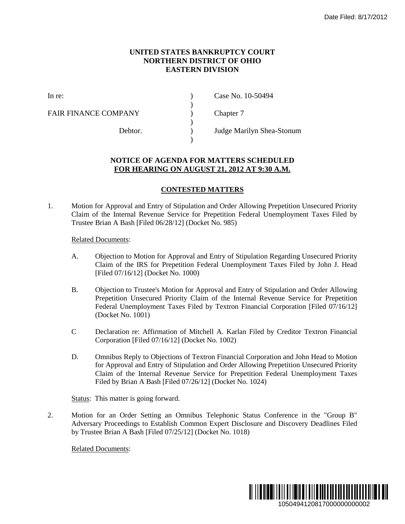## **UNITED STATES BANKRUPTCY COURT NORTHERN DISTRICT OF OHIO EASTERN DIVISION**

)

)

)

FAIR FINANCE COMPANY (and  $\Gamma$ ) Chapter 7

In re: (a) Case No. 10-50494

Debtor. ) Judge Marilyn Shea-Stonum

## **NOTICE OF AGENDA FOR MATTERS SCHEDULED FOR HEARING ON AUGUST 21, 2012 AT 9:30 A.M.**

## **CONTESTED MATTERS**

1. Motion for Approval and Entry of Stipulation and Order Allowing Prepetition Unsecured Priority Claim of the Internal Revenue Service for Prepetition Federal Unemployment Taxes Filed by Trustee Brian A Bash [Filed 06/28/12] (Docket No. 985)

## Related Documents:

- A. Objection to Motion for Approval and Entry of Stipulation Regarding Unsecured Priority Claim of the IRS for Prepetition Federal Unemployment Taxes Filed by John J. Head [Filed 07/16/12] (Docket No. 1000)
- B. Objection to Trustee's Motion for Approval and Entry of Stipulation and Order Allowing Prepetition Unsecured Priority Claim of the Internal Revenue Service for Prepetition Federal Unemployment Taxes Filed by Textron Financial Corporation [Filed 07/16/12] (Docket No. 1001)
- C Declaration re: Affirmation of Mitchell A. Karlan Filed by Creditor Textron Financial Corporation [Filed 07/16/12] (Docket No. 1002)
- D. Omnibus Reply to Objections of Textron Financial Corporation and John Head to Motion for Approval and Entry of Stipulation and Order Allowing Prepetition Unsecured Priority Claim of the Internal Revenue Service for Prepetition Federal Unemployment Taxes Filed by Brian A Bash [Filed 07/26/12] (Docket No. 1024) Date Filed: 8/17/2012<br> **LED**<br> **M.**<br>
petition Unsecured Priority<br>
mployment Taxes Filed by<br>
garding Unsecured Priority<br>
ses Filed by John J. Head<br>
lation and Order Allowing<br>
ue Service for Prepetition<br>
proporation [Filed 07

Status: This matter is going forward.

2. Motion for an Order Setting an Omnibus Telephonic Status Conference in the "Group B" Adversary Proceedings to Establish Common Expert Disclosure and Discovery Deadlines Filed by Trustee Brian A Bash [Filed 07/25/12] (Docket No. 1018)

Related Documents: